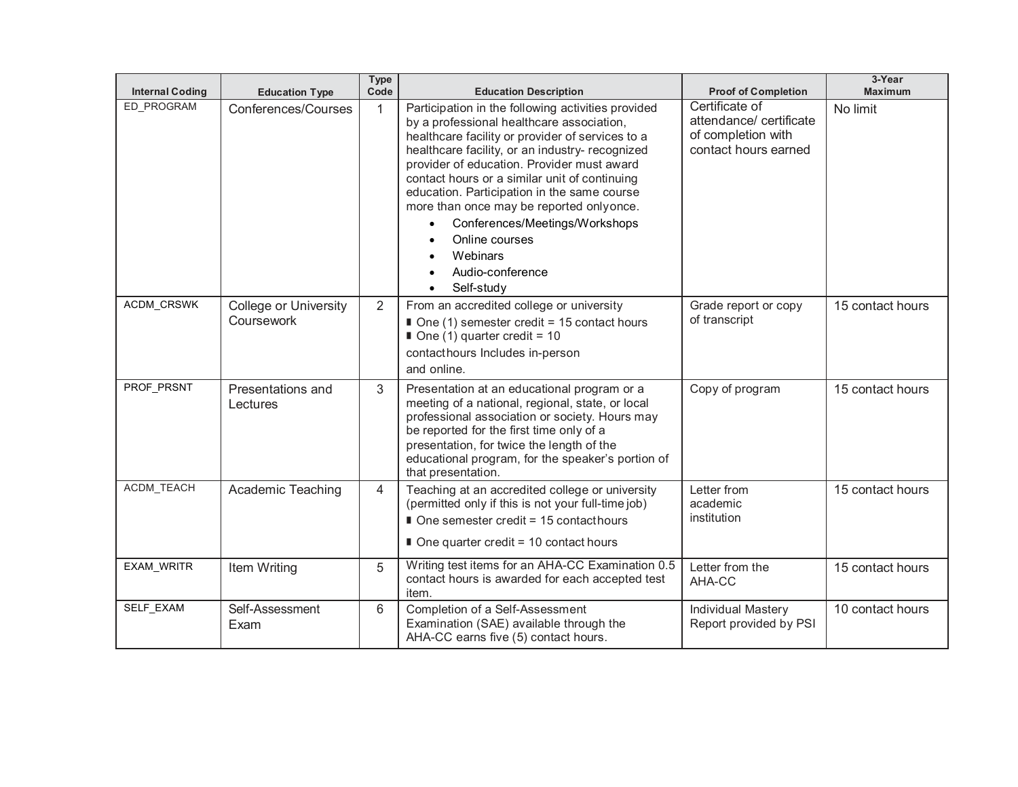| <b>Internal Coding</b> | <b>Education Type</b>                      | <b>Type</b><br>Code | <b>Education Description</b>                                                                                                                                                                                                                                                                                                                                                                                                                                                                                                              | <b>Proof of Completion</b>                                                             | 3-Year<br><b>Maximum</b> |
|------------------------|--------------------------------------------|---------------------|-------------------------------------------------------------------------------------------------------------------------------------------------------------------------------------------------------------------------------------------------------------------------------------------------------------------------------------------------------------------------------------------------------------------------------------------------------------------------------------------------------------------------------------------|----------------------------------------------------------------------------------------|--------------------------|
| ED PROGRAM             | Conferences/Courses                        | 1                   | Participation in the following activities provided<br>by a professional healthcare association,<br>healthcare facility or provider of services to a<br>healthcare facility, or an industry- recognized<br>provider of education. Provider must award<br>contact hours or a similar unit of continuing<br>education. Participation in the same course<br>more than once may be reported onlyonce.<br>Conferences/Meetings/Workshops<br>$\bullet$<br>Online courses<br>Webinars<br>Audio-conference<br>$\bullet$<br>Self-study<br>$\bullet$ | Certificate of<br>attendance/certificate<br>of completion with<br>contact hours earned | No limit                 |
| ACDM_CRSWK             | <b>College or University</b><br>Coursework | 2                   | From an accredited college or university<br>$\blacksquare$ One (1) semester credit = 15 contact hours<br>One (1) quarter credit = $10$<br>contacthours Includes in-person<br>and online.                                                                                                                                                                                                                                                                                                                                                  | Grade report or copy<br>of transcript                                                  | 15 contact hours         |
| PROF_PRSNT             | Presentations and<br>Lectures              | 3                   | Presentation at an educational program or a<br>meeting of a national, regional, state, or local<br>professional association or society. Hours may<br>be reported for the first time only of a<br>presentation, for twice the length of the<br>educational program, for the speaker's portion of<br>that presentation.                                                                                                                                                                                                                     | Copy of program                                                                        | 15 contact hours         |
| ACDM_TEACH             | <b>Academic Teaching</b>                   | $\overline{4}$      | Teaching at an accredited college or university<br>(permitted only if this is not your full-time job)<br>■ One semester credit = 15 contact hours<br>$\blacksquare$ One quarter credit = 10 contact hours                                                                                                                                                                                                                                                                                                                                 | Letter from<br>academic<br>institution                                                 | 15 contact hours         |
| <b>EXAM WRITR</b>      | Item Writing                               | 5                   | Writing test items for an AHA-CC Examination 0.5<br>contact hours is awarded for each accepted test<br>item.                                                                                                                                                                                                                                                                                                                                                                                                                              | Letter from the<br>AHA-CC                                                              | 15 contact hours         |
| SELF_EXAM              | Self-Assessment<br>Exam                    | 6                   | Completion of a Self-Assessment<br>Examination (SAE) available through the<br>AHA-CC earns five (5) contact hours.                                                                                                                                                                                                                                                                                                                                                                                                                        | <b>Individual Mastery</b><br>Report provided by PSI                                    | 10 contact hours         |